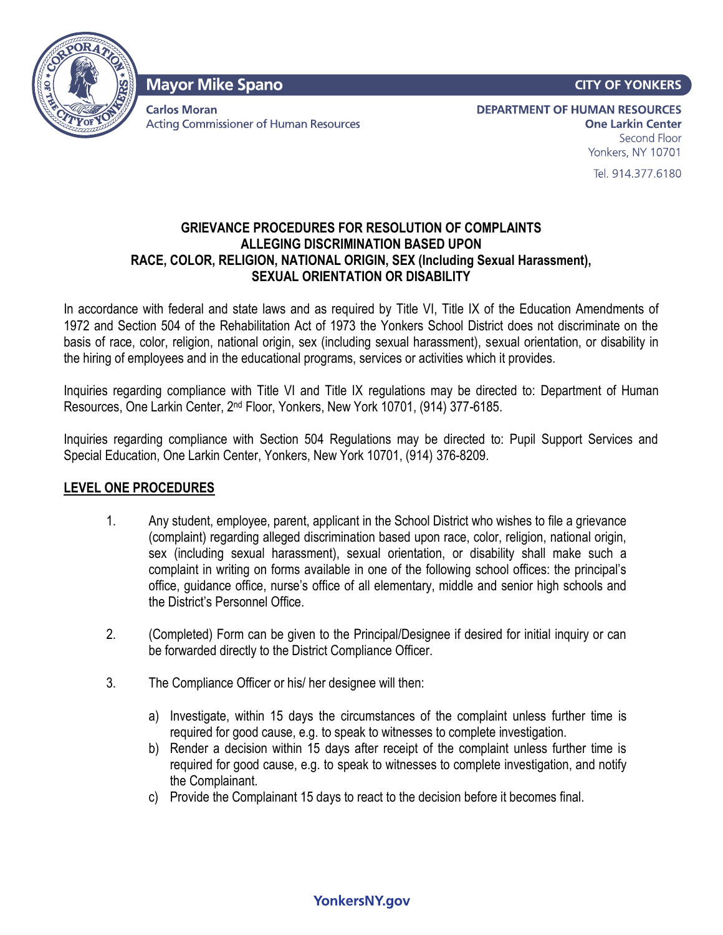

**Mayor Mike Spano** 

**Carlos Moran Acting Commissioner of Human Resources**  **CITY OF YONKERS** 

**DEPARTMENT OF HUMAN RESOURCES One Larkin Center** Second Floor Yonkers, NY 10701

Tel. 914.377.6180

## **GRIEVANCE PROCEDURES FOR RESOLUTION OF COMPLAINTS ALLEGING DISCRIMINATION BASED UPON RACE, COLOR, RELIGION, NATIONAL ORIGIN, SEX (Including Sexual Harassment), SEXUAL ORIENTATION OR DISABILITY**

In accordance with federal and state laws and as required by Title VI, Title IX of the Education Amendments of 1972 and Section 504 of the Rehabilitation Act of 1973 the Yonkers School District does not discriminate on the basis of race, color, religion, national origin, sex (including sexual harassment), sexual orientation, or disability in the hiring of employees and in the educational programs, services or activities which it provides.

Inquiries regarding compliance with Title VI and Title IX regulations may be directed to: Department of Human Resources, One Larkin Center, 2nd Floor, Yonkers, New York 10701, (914) 377-6185.

Inquiries regarding compliance with Section 504 Regulations may be directed to: Pupil Support Services and Special Education, One Larkin Center, Yonkers, New York 10701, (914) 376-8209.

# **LEVEL ONE PROCEDURES**

- 1. Any student, employee, parent, applicant in the School District who wishes to file a grievance (complaint) regarding alleged discrimination based upon race, color, religion, national origin, sex (including sexual harassment), sexual orientation, or disability shall make such a complaint in writing on forms available in one of the following school offices: the principal's office, guidance office, nurse's office of all elementary, middle and senior high schools and the District's Personnel Office.
- 2. (Completed) Form can be given to the Principal/Designee if desired for initial inquiry or can be forwarded directly to the District Compliance Officer.
- 3. The Compliance Officer or his/ her designee will then:
	- a) Investigate, within 15 days the circumstances of the complaint unless further time is required for good cause, e.g. to speak to witnesses to complete investigation.
	- b) Render a decision within 15 days after receipt of the complaint unless further time is required for good cause, e.g. to speak to witnesses to complete investigation, and notify the Complainant.
	- c) Provide the Complainant 15 days to react to the decision before it becomes final.

# **YonkersNY.gov**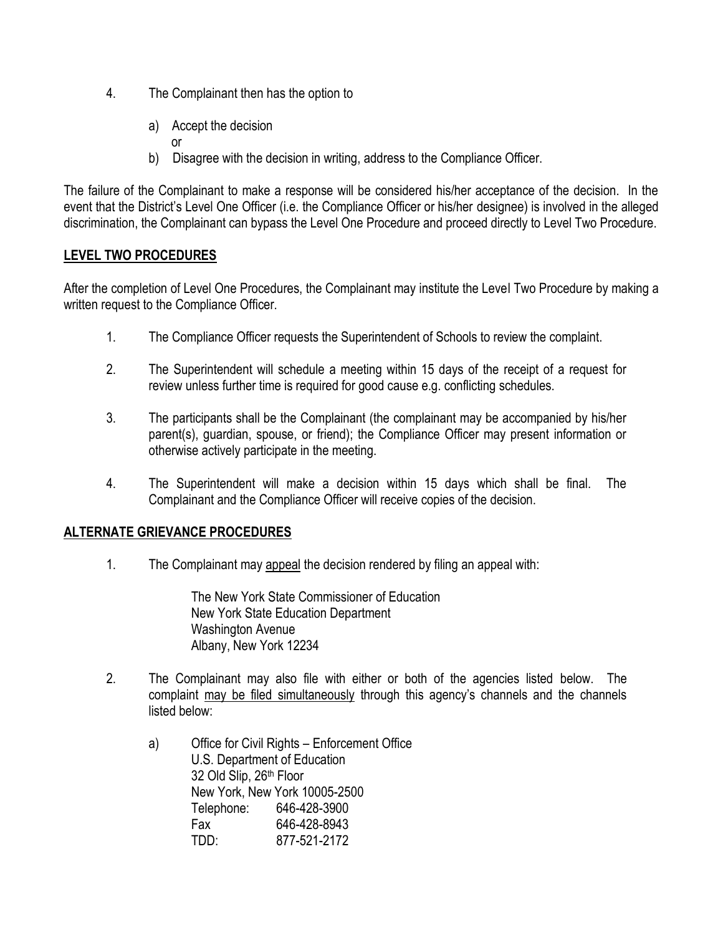- 4. The Complainant then has the option to
	- a) Accept the decision
	- or
	- b) Disagree with the decision in writing, address to the Compliance Officer.

The failure of the Complainant to make a response will be considered his/her acceptance of the decision. In the event that the District's Level One Officer (i.e. the Compliance Officer or his/her designee) is involved in the alleged discrimination, the Complainant can bypass the Level One Procedure and proceed directly to Level Two Procedure.

# **LEVEL TWO PROCEDURES**

After the completion of Level One Procedures, the Complainant may institute the Level Two Procedure by making a written request to the Compliance Officer.

- 1. The Compliance Officer requests the Superintendent of Schools to review the complaint.
- 2. The Superintendent will schedule a meeting within 15 days of the receipt of a request for review unless further time is required for good cause e.g. conflicting schedules.
- 3. The participants shall be the Complainant (the complainant may be accompanied by his/her parent(s), guardian, spouse, or friend); the Compliance Officer may present information or otherwise actively participate in the meeting.
- 4. The Superintendent will make a decision within 15 days which shall be final. The Complainant and the Compliance Officer will receive copies of the decision.

# **ALTERNATE GRIEVANCE PROCEDURES**

1. The Complainant may appeal the decision rendered by filing an appeal with:

The New York State Commissioner of Education New York State Education Department Washington Avenue Albany, New York 12234

- 2. The Complainant may also file with either or both of the agencies listed below. The complaint may be filed simultaneously through this agency's channels and the channels listed below:
	- a) Office for Civil Rights Enforcement Office U.S. Department of Education 32 Old Slip, 26th Floor New York, New York 10005-2500 Telephone: 646-428-3900 Fax 646-428-8943 TDD: 877-521-2172